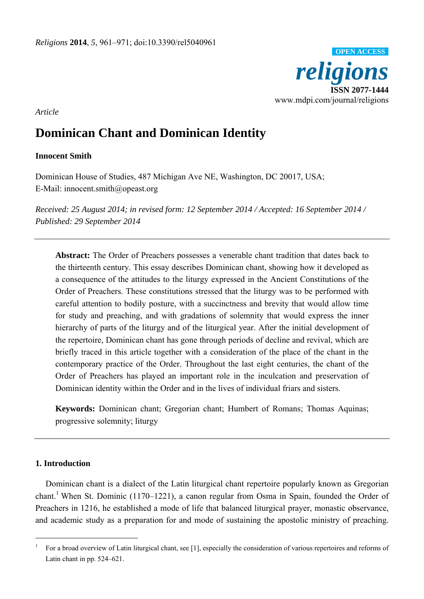

*Article* 

# **Dominican Chant and Dominican Identity**

# **Innocent Smith**

Dominican House of Studies, 487 Michigan Ave NE, Washington, DC 20017, USA; E-Mail: innocent.smith@opeast.org

*Received: 25 August 2014; in revised form: 12 September 2014 / Accepted: 16 September 2014 / Published: 29 September 2014* 

**Abstract:** The Order of Preachers possesses a venerable chant tradition that dates back to the thirteenth century. This essay describes Dominican chant, showing how it developed as a consequence of the attitudes to the liturgy expressed in the Ancient Constitutions of the Order of Preachers. These constitutions stressed that the liturgy was to be performed with careful attention to bodily posture, with a succinctness and brevity that would allow time for study and preaching, and with gradations of solemnity that would express the inner hierarchy of parts of the liturgy and of the liturgical year. After the initial development of the repertoire, Dominican chant has gone through periods of decline and revival, which are briefly traced in this article together with a consideration of the place of the chant in the contemporary practice of the Order. Throughout the last eight centuries, the chant of the Order of Preachers has played an important role in the inculcation and preservation of Dominican identity within the Order and in the lives of individual friars and sisters.

**Keywords:** Dominican chant; Gregorian chant; Humbert of Romans; Thomas Aquinas; progressive solemnity; liturgy

# **1. Introduction**

 $\overline{a}$ 

Dominican chant is a dialect of the Latin liturgical chant repertoire popularly known as Gregorian chant.<sup>1</sup> When St. Dominic (1170–1221), a canon regular from Osma in Spain, founded the Order of Preachers in 1216, he established a mode of life that balanced liturgical prayer, monastic observance, and academic study as a preparation for and mode of sustaining the apostolic ministry of preaching.

<sup>1</sup> For a broad overview of Latin liturgical chant, see [1], especially the consideration of various repertoires and reforms of Latin chant in pp. 524–621.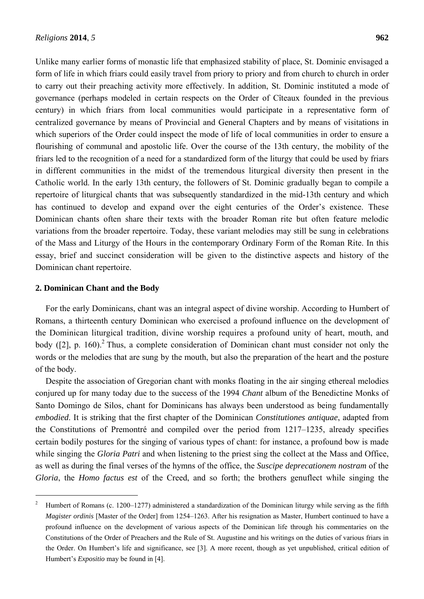Unlike many earlier forms of monastic life that emphasized stability of place, St. Dominic envisaged a form of life in which friars could easily travel from priory to priory and from church to church in order to carry out their preaching activity more effectively. In addition, St. Dominic instituted a mode of governance (perhaps modeled in certain respects on the Order of Cîteaux founded in the previous century) in which friars from local communities would participate in a representative form of centralized governance by means of Provincial and General Chapters and by means of visitations in which superiors of the Order could inspect the mode of life of local communities in order to ensure a flourishing of communal and apostolic life. Over the course of the 13th century, the mobility of the friars led to the recognition of a need for a standardized form of the liturgy that could be used by friars in different communities in the midst of the tremendous liturgical diversity then present in the Catholic world. In the early 13th century, the followers of St. Dominic gradually began to compile a repertoire of liturgical chants that was subsequently standardized in the mid-13th century and which has continued to develop and expand over the eight centuries of the Order's existence. These Dominican chants often share their texts with the broader Roman rite but often feature melodic variations from the broader repertoire. Today, these variant melodies may still be sung in celebrations of the Mass and Liturgy of the Hours in the contemporary Ordinary Form of the Roman Rite. In this essay, brief and succinct consideration will be given to the distinctive aspects and history of the Dominican chant repertoire.

### **2. Dominican Chant and the Body**

 $\overline{a}$ 

For the early Dominicans, chant was an integral aspect of divine worship. According to Humbert of Romans, a thirteenth century Dominican who exercised a profound influence on the development of the Dominican liturgical tradition, divine worship requires a profound unity of heart, mouth, and body ([2], p. 160).<sup>2</sup> Thus, a complete consideration of Dominican chant must consider not only the words or the melodies that are sung by the mouth, but also the preparation of the heart and the posture of the body.

Despite the association of Gregorian chant with monks floating in the air singing ethereal melodies conjured up for many today due to the success of the 1994 *Chant* album of the Benedictine Monks of Santo Domingo de Silos, chant for Dominicans has always been understood as being fundamentally *embodied*. It is striking that the first chapter of the Dominican *Constitutiones antiquae*, adapted from the Constitutions of Premontré and compiled over the period from 1217–1235, already specifies certain bodily postures for the singing of various types of chant: for instance, a profound bow is made while singing the *Gloria Patri* and when listening to the priest sing the collect at the Mass and Office, as well as during the final verses of the hymns of the office, the *Suscipe deprecationem nostram* of the *Gloria*, the *Homo factus est* of the Creed, and so forth; the brothers genuflect while singing the

<sup>2</sup> Humbert of Romans (c. 1200–1277) administered a standardization of the Dominican liturgy while serving as the fifth *Magister ordinis* [Master of the Order] from 1254–1263. After his resignation as Master, Humbert continued to have a profound influence on the development of various aspects of the Dominican life through his commentaries on the Constitutions of the Order of Preachers and the Rule of St. Augustine and his writings on the duties of various friars in the Order. On Humbert's life and significance, see [3]. A more recent, though as yet unpublished, critical edition of Humbert's *Expositio* may be found in [4].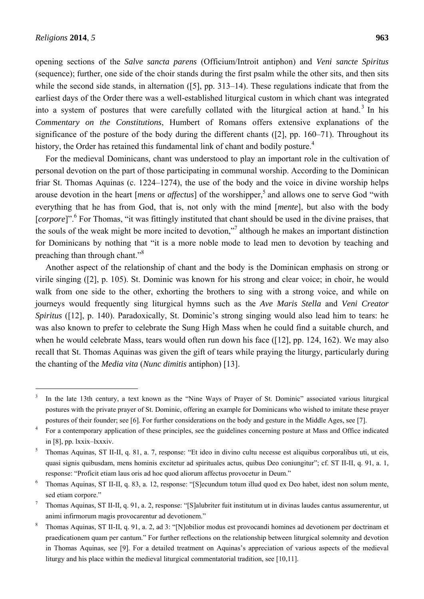$\overline{a}$ 

opening sections of the *Salve sancta parens* (Officium/Introit antiphon) and *Veni sancte Spiritus*  (sequence); further, one side of the choir stands during the first psalm while the other sits, and then sits while the second side stands, in alternation ([5], pp. 313–14). These regulations indicate that from the earliest days of the Order there was a well-established liturgical custom in which chant was integrated into a system of postures that were carefully collated with the liturgical action at hand.<sup>3</sup> In his *Commentary on the Constitutions*, Humbert of Romans offers extensive explanations of the significance of the posture of the body during the different chants ([2], pp. 160–71). Throughout its history, the Order has retained this fundamental link of chant and bodily posture.<sup>4</sup>

For the medieval Dominicans, chant was understood to play an important role in the cultivation of personal devotion on the part of those participating in communal worship. According to the Dominican friar St. Thomas Aquinas (c. 1224–1274), the use of the body and the voice in divine worship helps arouse devotion in the heart [*mens* or *affectus*] of the worshipper,<sup>5</sup> and allows one to serve God "with everything that he has from God, that is, not only with the mind [*mente*], but also with the body [*corpore*]".<sup>6</sup> For Thomas, "it was fittingly instituted that chant should be used in the divine praises, that the souls of the weak might be more incited to devotion,"<sup>7</sup> although he makes an important distinction for Dominicans by nothing that "it is a more noble mode to lead men to devotion by teaching and preaching than through chant."8

Another aspect of the relationship of chant and the body is the Dominican emphasis on strong or virile singing ([2], p. 105). St. Dominic was known for his strong and clear voice; in choir, he would walk from one side to the other, exhorting the brothers to sing with a strong voice, and while on journeys would frequently sing liturgical hymns such as the *Ave Maris Stella* and *Veni Creator Spiritus* ([12], p. 140). Paradoxically, St. Dominic's strong singing would also lead him to tears: he was also known to prefer to celebrate the Sung High Mass when he could find a suitable church, and when he would celebrate Mass, tears would often run down his face ([12], pp. 124, 162). We may also recall that St. Thomas Aquinas was given the gift of tears while praying the liturgy, particularly during the chanting of the *Media vita* (*Nunc dimitis* antiphon) [13].

<sup>3</sup> In the late 13th century, a text known as the "Nine Ways of Prayer of St. Dominic" associated various liturgical postures with the private prayer of St. Dominic, offering an example for Dominicans who wished to imitate these prayer postures of their founder; see [6]. For further considerations on the body and gesture in the Middle Ages, see [7].

<sup>4</sup> For a contemporary application of these principles, see the guidelines concerning posture at Mass and Office indicated in [8], pp. lxxix–lxxxiv.

<sup>5</sup> Thomas Aquinas, ST II-II, q. 81, a. 7, response: "Et ideo in divino cultu necesse est aliquibus corporalibus uti, ut eis, quasi signis quibusdam, mens hominis excitetur ad spirituales actus, quibus Deo coniungitur"; cf. ST II-II, q. 91, a. 1, response: "Proficit etiam laus oris ad hoc quod aliorum affectus provocetur in Deum."

<sup>6</sup> Thomas Aquinas, ST II-II, q. 83, a. 12, response: "[S]ecundum totum illud quod ex Deo habet, idest non solum mente, sed etiam corpore."

<sup>7</sup> Thomas Aquinas, ST II-II, q. 91, a. 2, response: "[S]alubriter fuit institutum ut in divinas laudes cantus assumerentur, ut animi infirmorum magis provocarentur ad devotionem."

<sup>8</sup> Thomas Aquinas, ST II-II, q. 91, a. 2, ad 3: "[N]obilior modus est provocandi homines ad devotionem per doctrinam et praedicationem quam per cantum." For further reflections on the relationship between liturgical solemnity and devotion in Thomas Aquinas, see [9]. For a detailed treatment on Aquinas's appreciation of various aspects of the medieval liturgy and his place within the medieval liturgical commentatorial tradition, see [10,11].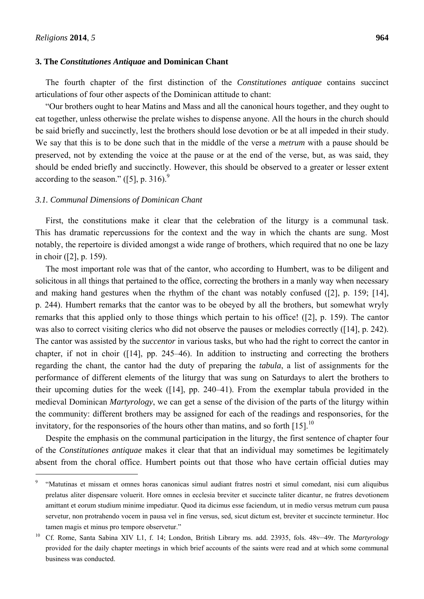$\overline{a}$ 

#### **3. The** *Constitutiones Antiquae* **and Dominican Chant**

The fourth chapter of the first distinction of the *Constitutiones antiquae* contains succinct articulations of four other aspects of the Dominican attitude to chant:

"Our brothers ought to hear Matins and Mass and all the canonical hours together, and they ought to eat together, unless otherwise the prelate wishes to dispense anyone. All the hours in the church should be said briefly and succinctly, lest the brothers should lose devotion or be at all impeded in their study. We say that this is to be done such that in the middle of the verse a *metrum* with a pause should be preserved, not by extending the voice at the pause or at the end of the verse, but, as was said, they should be ended briefly and succinctly. However, this should be observed to a greater or lesser extent according to the season."  $(5)$ , p. 316).<sup>9</sup>

#### *3.1. Communal Dimensions of Dominican Chant*

First, the constitutions make it clear that the celebration of the liturgy is a communal task. This has dramatic repercussions for the context and the way in which the chants are sung. Most notably, the repertoire is divided amongst a wide range of brothers, which required that no one be lazy in choir ([2], p. 159).

The most important role was that of the cantor, who according to Humbert, was to be diligent and solicitous in all things that pertained to the office, correcting the brothers in a manly way when necessary and making hand gestures when the rhythm of the chant was notably confused ([2], p. 159; [14], p. 244). Humbert remarks that the cantor was to be obeyed by all the brothers, but somewhat wryly remarks that this applied only to those things which pertain to his office! ([2], p. 159). The cantor was also to correct visiting clerics who did not observe the pauses or melodies correctly ([14], p. 242). The cantor was assisted by the *succentor* in various tasks, but who had the right to correct the cantor in chapter, if not in choir ([14], pp. 245–46). In addition to instructing and correcting the brothers regarding the chant, the cantor had the duty of preparing the *tabula*, a list of assignments for the performance of different elements of the liturgy that was sung on Saturdays to alert the brothers to their upcoming duties for the week ([14], pp. 240–41). From the exemplar tabula provided in the medieval Dominican *Martyrology*, we can get a sense of the division of the parts of the liturgy within the community: different brothers may be assigned for each of the readings and responsories, for the invitatory, for the responsories of the hours other than matins, and so forth  $[15]$ .<sup>10</sup>

Despite the emphasis on the communal participation in the liturgy, the first sentence of chapter four of the *Constitutiones antiquae* makes it clear that that an individual may sometimes be legitimately absent from the choral office. Humbert points out that those who have certain official duties may

<sup>9</sup> "Matutinas et missam et omnes horas canonicas simul audiant fratres nostri et simul comedant, nisi cum aliquibus prelatus aliter dispensare voluerit. Hore omnes in ecclesia breviter et succincte taliter dicantur, ne fratres devotionem amittant et eorum studium minime impediatur. Quod ita dicimus esse faciendum, ut in medio versus metrum cum pausa servetur, non protrahendo vocem in pausa vel in fine versus, sed, sicut dictum est, breviter et succincte terminetur. Hoc tamen magis et minus pro tempore observetur."

<sup>10</sup> Cf. Rome, Santa Sabina XIV L1, f. 14; London, British Library ms. add. 23935, fols. 48v–49r. The *Martyrology*  provided for the daily chapter meetings in which brief accounts of the saints were read and at which some communal business was conducted.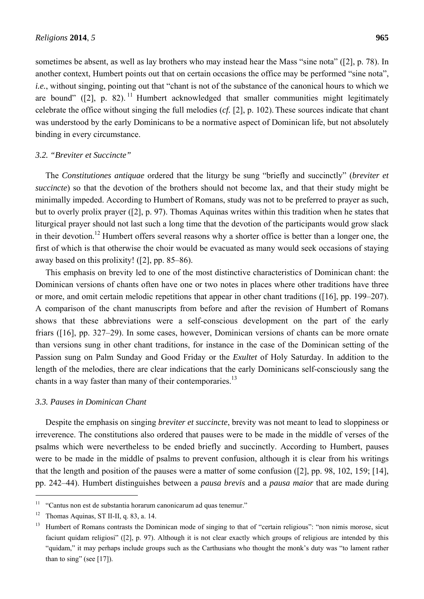sometimes be absent, as well as lay brothers who may instead hear the Mass "sine nota" ([2], p. 78). In another context, Humbert points out that on certain occasions the office may be performed "sine nota", *i.e.*, without singing, pointing out that "chant is not of the substance of the canonical hours to which we are bound" ([2], p. 82). <sup>11</sup> Humbert acknowledged that smaller communities might legitimately celebrate the office without singing the full melodies (*cf.* [2], p. 102). These sources indicate that chant was understood by the early Dominicans to be a normative aspect of Dominican life, but not absolutely binding in every circumstance.

#### *3.2. "Breviter et Succincte"*

The *Constitutiones antiquae* ordered that the liturgy be sung "briefly and succinctly" (*breviter et succincte*) so that the devotion of the brothers should not become lax, and that their study might be minimally impeded. According to Humbert of Romans, study was not to be preferred to prayer as such, but to overly prolix prayer ([2], p. 97). Thomas Aquinas writes within this tradition when he states that liturgical prayer should not last such a long time that the devotion of the participants would grow slack in their devotion.<sup>12</sup> Humbert offers several reasons why a shorter office is better than a longer one, the first of which is that otherwise the choir would be evacuated as many would seek occasions of staying away based on this prolixity! ([2], pp. 85–86).

This emphasis on brevity led to one of the most distinctive characteristics of Dominican chant: the Dominican versions of chants often have one or two notes in places where other traditions have three or more, and omit certain melodic repetitions that appear in other chant traditions ([16], pp. 199–207). A comparison of the chant manuscripts from before and after the revision of Humbert of Romans shows that these abbreviations were a self-conscious development on the part of the early friars ([16], pp. 327–29). In some cases, however, Dominican versions of chants can be more ornate than versions sung in other chant traditions, for instance in the case of the Dominican setting of the Passion sung on Palm Sunday and Good Friday or the *Exultet* of Holy Saturday. In addition to the length of the melodies, there are clear indications that the early Dominicans self-consciously sang the chants in a way faster than many of their contemporaries.<sup>13</sup>

## *3.3. Pauses in Dominican Chant*

Despite the emphasis on singing *breviter et succincte*, brevity was not meant to lead to sloppiness or irreverence. The constitutions also ordered that pauses were to be made in the middle of verses of the psalms which were nevertheless to be ended briefly and succinctly. According to Humbert, pauses were to be made in the middle of psalms to prevent confusion, although it is clear from his writings that the length and position of the pauses were a matter of some confusion ([2], pp. 98, 102, 159; [14], pp. 242–44). Humbert distinguishes between a *pausa brevis* and a *pausa maior* that are made during

 $\overline{a}$ 

 $11$  "Cantus non est de substantia horarum canonicarum ad quas tenemur."

<sup>&</sup>lt;sup>12</sup> Thomas Aquinas, ST II-II, q. 83, a. 14.

<sup>&</sup>lt;sup>13</sup> Humbert of Romans contrasts the Dominican mode of singing to that of "certain religious": "non nimis morose, sicut faciunt quidam religiosi" ([2], p. 97). Although it is not clear exactly which groups of religious are intended by this "quidam," it may perhaps include groups such as the Carthusians who thought the monk's duty was "to lament rather than to sing" (see [17]).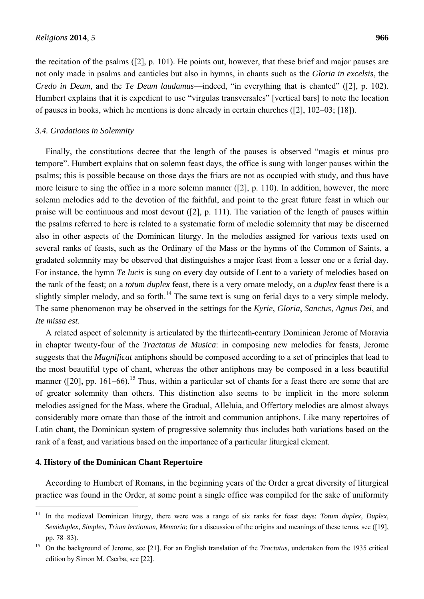the recitation of the psalms ([2], p. 101). He points out, however, that these brief and major pauses are not only made in psalms and canticles but also in hymns, in chants such as the *Gloria in excelsis*, the *Credo in Deum*, and the *Te Deum laudamus*—indeed, "in everything that is chanted" ([2], p. 102). Humbert explains that it is expedient to use "virgulas transversales" [vertical bars] to note the location of pauses in books, which he mentions is done already in certain churches ([2], 102–03; [18]).

#### *3.4. Gradations in Solemnity*

Finally, the constitutions decree that the length of the pauses is observed "magis et minus pro tempore". Humbert explains that on solemn feast days, the office is sung with longer pauses within the psalms; this is possible because on those days the friars are not as occupied with study, and thus have more leisure to sing the office in a more solemn manner ([2], p. 110). In addition, however, the more solemn melodies add to the devotion of the faithful, and point to the great future feast in which our praise will be continuous and most devout ([2], p. 111). The variation of the length of pauses within the psalms referred to here is related to a systematic form of melodic solemnity that may be discerned also in other aspects of the Dominican liturgy. In the melodies assigned for various texts used on several ranks of feasts, such as the Ordinary of the Mass or the hymns of the Common of Saints, a gradated solemnity may be observed that distinguishes a major feast from a lesser one or a ferial day. For instance, the hymn *Te lucis* is sung on every day outside of Lent to a variety of melodies based on the rank of the feast; on a *totum duplex* feast, there is a very ornate melody, on a *duplex* feast there is a slightly simpler melody, and so forth.<sup>14</sup> The same text is sung on ferial days to a very simple melody. The same phenomenon may be observed in the settings for the *Kyrie*, *Gloria*, *Sanctus*, *Agnus Dei*, and *Ite missa est*.

A related aspect of solemnity is articulated by the thirteenth-century Dominican Jerome of Moravia in chapter twenty-four of the *Tractatus de Musica*: in composing new melodies for feasts, Jerome suggests that the *Magnificat* antiphons should be composed according to a set of principles that lead to the most beautiful type of chant, whereas the other antiphons may be composed in a less beautiful manner ( $[20]$ , pp. 161–66).<sup>15</sup> Thus, within a particular set of chants for a feast there are some that are of greater solemnity than others. This distinction also seems to be implicit in the more solemn melodies assigned for the Mass, where the Gradual, Alleluia, and Offertory melodies are almost always considerably more ornate than those of the introit and communion antiphons. Like many repertoires of Latin chant, the Dominican system of progressive solemnity thus includes both variations based on the rank of a feast, and variations based on the importance of a particular liturgical element.

#### **4. History of the Dominican Chant Repertoire**

 $\overline{a}$ 

According to Humbert of Romans, in the beginning years of the Order a great diversity of liturgical practice was found in the Order, at some point a single office was compiled for the sake of uniformity

<sup>&</sup>lt;sup>14</sup> In the medieval Dominican liturgy, there were was a range of six ranks for feast days: *Totum duplex, Duplex, Semiduplex, Simplex, Trium lectionum, Memoria*; for a discussion of the origins and meanings of these terms, see ([19], pp. 78–83).

<sup>15</sup> On the background of Jerome, see [21]. For an English translation of the *Tractatus,* undertaken from the 1935 critical edition by Simon M. Cserba, see [22].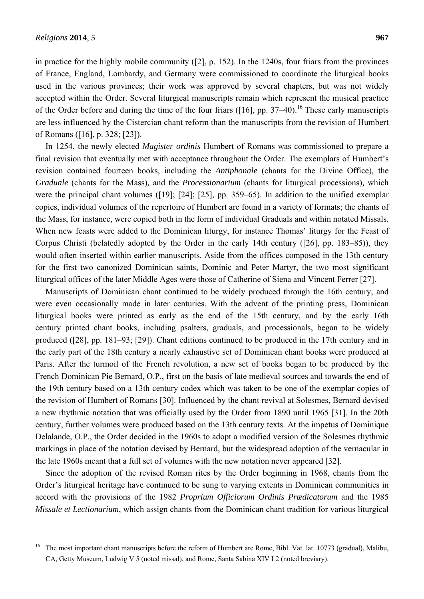$\overline{a}$ 

in practice for the highly mobile community ([2], p. 152). In the 1240s, four friars from the provinces of France, England, Lombardy, and Germany were commissioned to coordinate the liturgical books used in the various provinces; their work was approved by several chapters, but was not widely accepted within the Order. Several liturgical manuscripts remain which represent the musical practice of the Order before and during the time of the four friars  $(16)$ , pp. 37–40).<sup>16</sup> These early manuscripts are less influenced by the Cistercian chant reform than the manuscripts from the revision of Humbert of Romans ([16], p. 328; [23]).

In 1254, the newly elected *Magister ordinis* Humbert of Romans was commissioned to prepare a final revision that eventually met with acceptance throughout the Order. The exemplars of Humbert's revision contained fourteen books, including the *Antiphonale* (chants for the Divine Office)*,* the *Graduale* (chants for the Mass)*,* and the *Processionarium* (chants for liturgical processions)*,* which were the principal chant volumes ([19]; [24]; [25], pp. 359–65). In addition to the unified exemplar copies, individual volumes of the repertoire of Humbert are found in a variety of formats; the chants of the Mass, for instance, were copied both in the form of individual Graduals and within notated Missals. When new feasts were added to the Dominican liturgy, for instance Thomas' liturgy for the Feast of Corpus Christi (belatedly adopted by the Order in the early 14th century ([26], pp. 183–85)), they would often inserted within earlier manuscripts. Aside from the offices composed in the 13th century for the first two canonized Dominican saints, Dominic and Peter Martyr, the two most significant liturgical offices of the later Middle Ages were those of Catherine of Siena and Vincent Ferrer [27].

Manuscripts of Dominican chant continued to be widely produced through the 16th century, and were even occasionally made in later centuries. With the advent of the printing press, Dominican liturgical books were printed as early as the end of the 15th century, and by the early 16th century printed chant books, including psalters, graduals, and processionals, began to be widely produced ([28], pp. 181–93; [29]). Chant editions continued to be produced in the 17th century and in the early part of the 18th century a nearly exhaustive set of Dominican chant books were produced at Paris. After the turmoil of the French revolution, a new set of books began to be produced by the French Dominican Pie Bernard, O.P., first on the basis of late medieval sources and towards the end of the 19th century based on a 13th century codex which was taken to be one of the exemplar copies of the revision of Humbert of Romans [30]. Influenced by the chant revival at Solesmes, Bernard devised a new rhythmic notation that was officially used by the Order from 1890 until 1965 [31]. In the 20th century, further volumes were produced based on the 13th century texts. At the impetus of Dominique Delalande, O.P., the Order decided in the 1960s to adopt a modified version of the Solesmes rhythmic markings in place of the notation devised by Bernard, but the widespread adoption of the vernacular in the late 1960s meant that a full set of volumes with the new notation never appeared [32].

Since the adoption of the revised Roman rites by the Order beginning in 1968, chants from the Order's liturgical heritage have continued to be sung to varying extents in Dominican communities in accord with the provisions of the 1982 *Proprium Officiorum Ordinis Prædicatorum* and the 1985 *Missale et Lectionarium*, which assign chants from the Dominican chant tradition for various liturgical

<sup>&</sup>lt;sup>16</sup> The most important chant manuscripts before the reform of Humbert are Rome, Bibl. Vat. lat. 10773 (gradual), Malibu, CA, Getty Museum, Ludwig V 5 (noted missal), and Rome, Santa Sabina XIV L2 (noted breviary).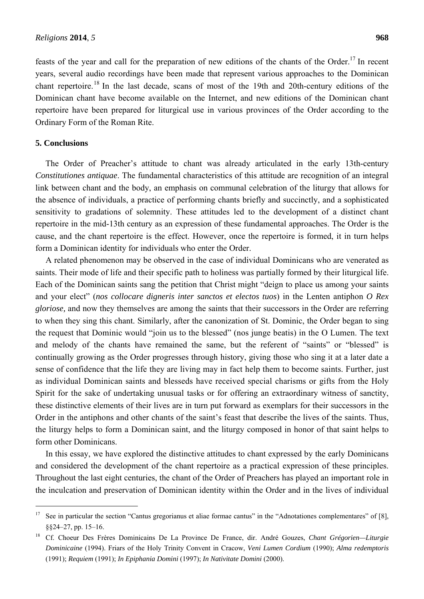feasts of the year and call for the preparation of new editions of the chants of the Order.<sup>17</sup> In recent years, several audio recordings have been made that represent various approaches to the Dominican chant repertoire.<sup>18</sup> In the last decade, scans of most of the 19th and 20th-century editions of the Dominican chant have become available on the Internet, and new editions of the Dominican chant repertoire have been prepared for liturgical use in various provinces of the Order according to the Ordinary Form of the Roman Rite.

#### **5. Conclusions**

 $\overline{a}$ 

The Order of Preacher's attitude to chant was already articulated in the early 13th-century *Constitutiones antiquae*. The fundamental characteristics of this attitude are recognition of an integral link between chant and the body, an emphasis on communal celebration of the liturgy that allows for the absence of individuals, a practice of performing chants briefly and succinctly, and a sophisticated sensitivity to gradations of solemnity. These attitudes led to the development of a distinct chant repertoire in the mid-13th century as an expression of these fundamental approaches. The Order is the cause, and the chant repertoire is the effect. However, once the repertoire is formed, it in turn helps form a Dominican identity for individuals who enter the Order.

A related phenomenon may be observed in the case of individual Dominicans who are venerated as saints. Their mode of life and their specific path to holiness was partially formed by their liturgical life. Each of the Dominican saints sang the petition that Christ might "deign to place us among your saints and your elect" (*nos collocare digneris inter sanctos et electos tuos*) in the Lenten antiphon *O Rex gloriose,* and now they themselves are among the saints that their successors in the Order are referring to when they sing this chant. Similarly, after the canonization of St. Dominic, the Order began to sing the request that Dominic would "join us to the blessed" (nos junge beatis) in the O Lumen. The text and melody of the chants have remained the same, but the referent of "saints" or "blessed" is continually growing as the Order progresses through history, giving those who sing it at a later date a sense of confidence that the life they are living may in fact help them to become saints. Further, just as individual Dominican saints and blesseds have received special charisms or gifts from the Holy Spirit for the sake of undertaking unusual tasks or for offering an extraordinary witness of sanctity, these distinctive elements of their lives are in turn put forward as exemplars for their successors in the Order in the antiphons and other chants of the saint's feast that describe the lives of the saints. Thus, the liturgy helps to form a Dominican saint, and the liturgy composed in honor of that saint helps to form other Dominicans.

In this essay, we have explored the distinctive attitudes to chant expressed by the early Dominicans and considered the development of the chant repertoire as a practical expression of these principles. Throughout the last eight centuries, the chant of the Order of Preachers has played an important role in the inculcation and preservation of Dominican identity within the Order and in the lives of individual

<sup>&</sup>lt;sup>17</sup> See in particular the section "Cantus gregorianus et aliae formae cantus" in the "Adnotationes complementares" of [8], §§24–27, pp. 15–16.

<sup>18</sup> Cf. Choeur Des Frères Dominicains De La Province De France, dir. André Gouzes, *Chant Grégorien—Liturgie Dominicaine* (1994). Friars of the Holy Trinity Convent in Cracow, *Veni Lumen Cordium* (1990); *Alma redemptoris* (1991); *Requiem* (1991); *In Epiphania Domini* (1997); *In Nativitate Domini* (2000).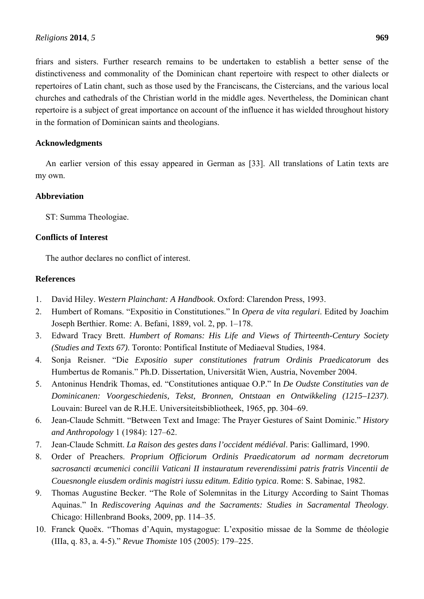friars and sisters. Further research remains to be undertaken to establish a better sense of the distinctiveness and commonality of the Dominican chant repertoire with respect to other dialects or repertoires of Latin chant, such as those used by the Franciscans, the Cistercians, and the various local churches and cathedrals of the Christian world in the middle ages. Nevertheless, the Dominican chant repertoire is a subject of great importance on account of the influence it has wielded throughout history in the formation of Dominican saints and theologians.

## **Acknowledgments**

An earlier version of this essay appeared in German as [33]. All translations of Latin texts are my own.

## **Abbreviation**

ST: Summa Theologiae.

## **Conflicts of Interest**

The author declares no conflict of interest.

## **References**

- 1. David Hiley. *Western Plainchant: A Handbook*. Oxford: Clarendon Press, 1993.
- 2. Humbert of Romans. "Expositio in Constitutiones." In *Opera de vita regulari*. Edited by Joachim Joseph Berthier. Rome: A. Befani, 1889, vol. 2, pp. 1–178.
- 3. Edward Tracy Brett. *Humbert of Romans: His Life and Views of Thirteenth-Century Society (Studies and Texts 67)*. Toronto: Pontifical Institute of Mediaeval Studies, 1984.
- 4. Sonja Reisner. "Die *Expositio super constitutiones fratrum Ordinis Praedicatorum* des Humbertus de Romanis." Ph.D. Dissertation, Universität Wien, Austria, November 2004.
- 5. Antoninus Hendrik Thomas, ed. "Constitutiones antiquae O.P." In *De Oudste Constituties van de Dominicanen: Voorgeschiedenis, Tekst, Bronnen, Ontstaan en Ontwikkeling (1215–1237)*. Louvain: Bureel van de R.H.E. Universiteitsbibliotheek, 1965, pp. 304–69.
- 6. Jean-Claude Schmitt. "Between Text and Image: The Prayer Gestures of Saint Dominic." *History and Anthropology* 1 (1984): 127–62.
- 7. Jean-Claude Schmitt. *La Raison des gestes dans l'occident médiéval*. Paris: Gallimard, 1990.
- 8. Order of Preachers. *Proprium Officiorum Ordinis Praedicatorum ad normam decretorum sacrosancti œcumenici concilii Vaticani II instauratum reverendissimi patris fratris Vincentii de Couesnongle eiusdem ordinis magistri iussu editum. Editio typica*. Rome: S. Sabinae, 1982.
- 9. Thomas Augustine Becker. "The Role of Solemnitas in the Liturgy According to Saint Thomas Aquinas." In *Rediscovering Aquinas and the Sacraments: Studies in Sacramental Theology*. Chicago: Hillenbrand Books, 2009, pp. 114–35.
- 10. Franck Quoëx. "Thomas d'Aquin, mystagogue: L'expositio missae de la Somme de théologie (IIIa, q. 83, a. 4-5)." *Revue Thomiste* 105 (2005): 179–225.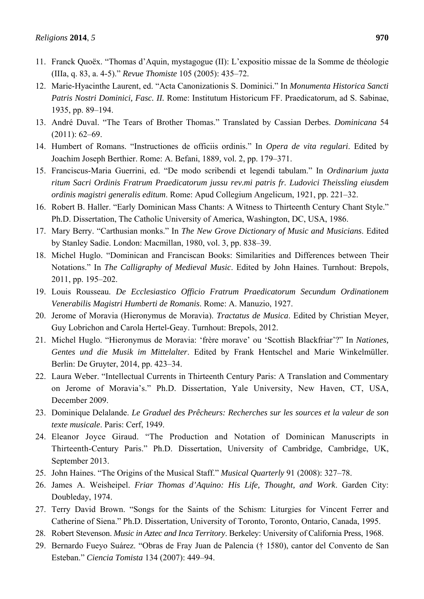- 11. Franck Quoëx. "Thomas d'Aquin, mystagogue (II): L'expositio missae de la Somme de théologie (IIIa, q. 83, a. 4-5)." *Revue Thomiste* 105 (2005): 435–72.
- 12. Marie-Hyacinthe Laurent, ed. "Acta Canonizationis S. Dominici." In *Monumenta Historica Sancti Patris Nostri Dominici, Fasc. II.* Rome: Institutum Historicum FF. Praedicatorum, ad S. Sabinae, 1935, pp. 89–194.
- 13. André Duval. "The Tears of Brother Thomas." Translated by Cassian Derbes. *Dominicana* 54  $(2011): 62-69.$
- 14. Humbert of Romans. "Instructiones de officiis ordinis." In *Opera de vita regulari*. Edited by Joachim Joseph Berthier. Rome: A. Befani, 1889, vol. 2, pp. 179–371.
- 15. Franciscus-Maria Guerrini, ed. "De modo scribendi et legendi tabulam." In *Ordinarium juxta ritum Sacri Ordinis Fratrum Praedicatorum jussu rev.mi patris fr. Ludovici Theissling eiusdem ordinis magistri generalis editum*. Rome: Apud Collegium Angelicum, 1921, pp. 221–32.
- 16. Robert B. Haller. "Early Dominican Mass Chants: A Witness to Thirteenth Century Chant Style." Ph.D. Dissertation, The Catholic University of America, Washington, DC, USA, 1986.
- 17. Mary Berry. "Carthusian monks." In *The New Grove Dictionary of Music and Musicians*. Edited by Stanley Sadie. London: Macmillan, 1980, vol. 3, pp. 838–39.
- 18. Michel Huglo. "Dominican and Franciscan Books: Similarities and Differences between Their Notations." In *The Calligraphy of Medieval Music*. Edited by John Haines. Turnhout: Brepols, 2011, pp. 195–202.
- 19. Louis Rousseau. *De Ecclesiastico Officio Fratrum Praedicatorum Secundum Ordinationem Venerabilis Magistri Humberti de Romanis*. Rome: A. Manuzio, 1927.
- 20. Jerome of Moravia (Hieronymus de Moravia). *Tractatus de Musica*. Edited by Christian Meyer, Guy Lobrichon and Carola Hertel-Geay. Turnhout: Brepols, 2012.
- 21. Michel Huglo. "Hieronymus de Moravia: 'frère morave' ou 'Scottish Blackfriar'?" In *Nationes, Gentes und die Musik im Mittelalter*. Edited by Frank Hentschel and Marie Winkelmüller. Berlin: De Gruyter, 2014, pp. 423–34.
- 22. Laura Weber. "Intellectual Currents in Thirteenth Century Paris: A Translation and Commentary on Jerome of Moravia's." Ph.D. Dissertation, Yale University, New Haven, CT, USA, December 2009.
- 23. Dominique Delalande. *Le Graduel des Prêcheurs: Recherches sur les sources et la valeur de son texte musicale*. Paris: Cerf, 1949.
- 24. Eleanor Joyce Giraud. "The Production and Notation of Dominican Manuscripts in Thirteenth-Century Paris." Ph.D. Dissertation, University of Cambridge, Cambridge, UK, September 2013.
- 25. John Haines. "The Origins of the Musical Staff." *Musical Quarterly* 91 (2008): 327–78.
- 26. James A. Weisheipel. *Friar Thomas d'Aquino: His Life, Thought, and Work*. Garden City: Doubleday, 1974.
- 27. Terry David Brown. "Songs for the Saints of the Schism: Liturgies for Vincent Ferrer and Catherine of Siena." Ph.D. Dissertation, University of Toronto, Toronto, Ontario, Canada, 1995.
- 28. Robert Stevenson. *Music in Aztec and Inca Territory*. Berkeley: University of California Press, 1968.
- 29. Bernardo Fueyo Suárez. "Obras de Fray Juan de Palencia († 1580), cantor del Convento de San Esteban." *Ciencia Tomista* 134 (2007): 449–94.